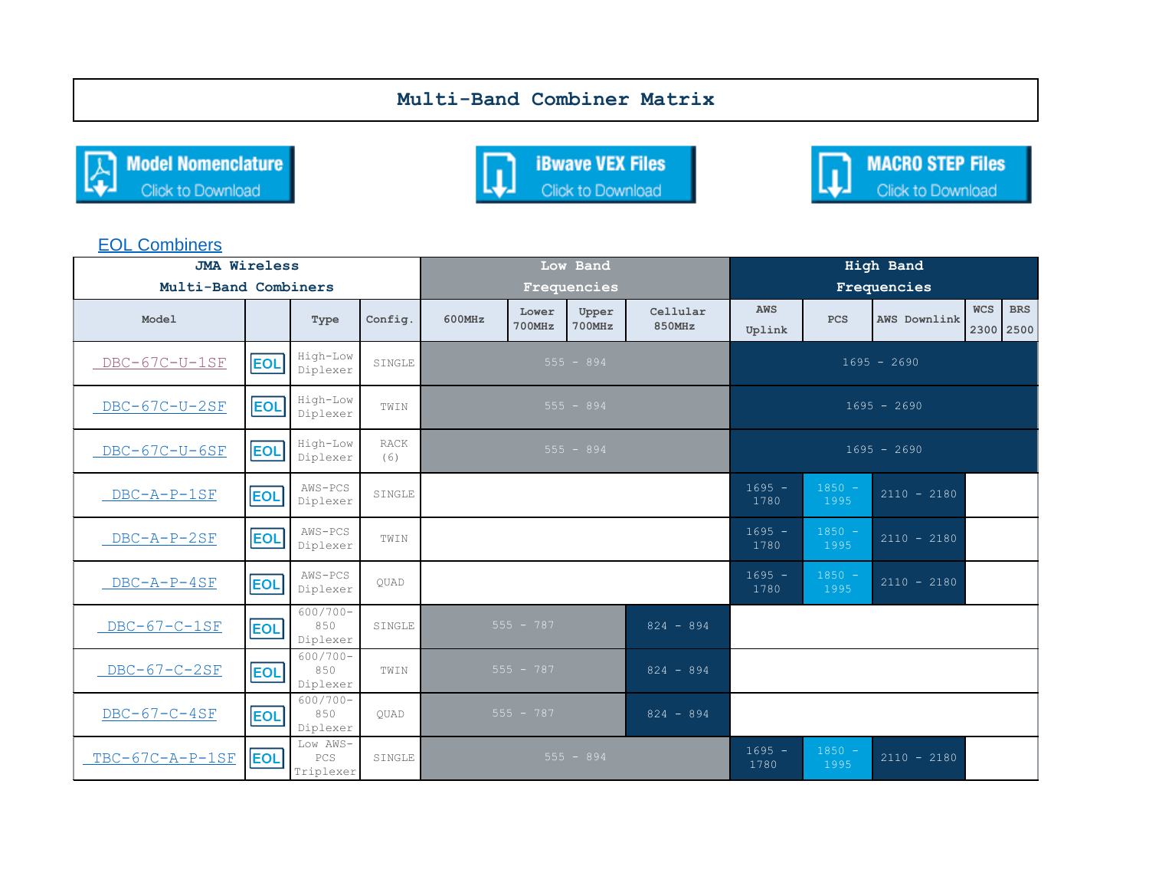## **Multi-Band Combiner Matrix**







## [EOL Combiners](https://www.jmawireless.com/PD/EOL_antennas/Content/EOL_Combiners.htm)

| <b>JMA Wireless</b>                                 | Low Band    |                                |                    |                            | High Band       |                 |                    |                      |                  |               |                                       |  |
|-----------------------------------------------------|-------------|--------------------------------|--------------------|----------------------------|-----------------|-----------------|--------------------|----------------------|------------------|---------------|---------------------------------------|--|
| Multi-Band Combiners                                | Frequencies |                                |                    |                            | Frequencies     |                 |                    |                      |                  |               |                                       |  |
| Model                                               |             | Type                           | Config.            | 600MHz                     | Lower<br>700MHz | Upper<br>700MHz | Cellular<br>850MHz | <b>AWS</b><br>Uplink | <b>PCS</b>       | AWS Downlink  | <b>WCS</b><br><b>BRS</b><br>2300 2500 |  |
| DBC-67C-U-1SF                                       | EOL         | High-Low<br>Diplexer           | SINGLE             |                            | $555 - 894$     |                 | $1695 - 2690$      |                      |                  |               |                                       |  |
| DBC-67C-U-2SF                                       | EOL         | High-Low<br>Diplexer           | TWIN               |                            |                 | $555 - 894$     |                    | $1695 - 2690$        |                  |               |                                       |  |
| DBC-67C-U-6SF                                       | EOL         | High-Low<br>Diplexer           | <b>RACK</b><br>(6) |                            | $555 - 894$     |                 | $1695 - 2690$      |                      |                  |               |                                       |  |
| $DBC - A - P - 1SF$                                 | EOL         | AWS-PCS<br>Diplexer            | SINGLE             |                            |                 |                 |                    | $1695 -$<br>1780     | $1850 -$<br>1995 | $2110 - 2180$ |                                       |  |
| DBC-A-P-2SF                                         | EOL         | AWS-PCS<br>Diplexer            | TWIN               |                            |                 |                 |                    | $1695 -$<br>1780     | $1850 -$<br>1995 | $2110 - 2180$ |                                       |  |
| $DBC - A - P - 4SF$                                 | <b>EOL</b>  | AWS-PCS<br>Diplexer            | OUAD               |                            |                 |                 | $1695 -$<br>1780   | $1850 -$<br>1995     | $2110 - 2180$    |               |                                       |  |
| $\frac{DEC-67-C-1SF}{}$                             | <b>EOL</b>  | $600/700 -$<br>850<br>Diplexer | SINGLE             |                            | $555 - 787$     |                 | $824 - 894$        |                      |                  |               |                                       |  |
| $\frac{DBC-67-C-2SF}{2}$                            | <b>EOL</b>  | $600/700 -$<br>850<br>Diplexer | TWIN               | $555 - 787$<br>$824 - 894$ |                 |                 |                    |                      |                  |               |                                       |  |
| $\frac{\text{DBC}-\text{67}-\text{C}-\text{4SF}}{}$ | <b>EOL</b>  | $600/700 -$<br>850<br>Diplexer | OUAD               | $555 - 787$<br>$824 - 894$ |                 |                 |                    |                      |                  |               |                                       |  |
| TBC-67C-A-P-1SF                                     | EOL         | Low AWS-<br>PCS<br>Triplexer   | SINGLE             |                            | $555 - 894$     |                 | $1695 -$<br>1780   | $1850 -$<br>1995     | $2110 - 2180$    |               |                                       |  |